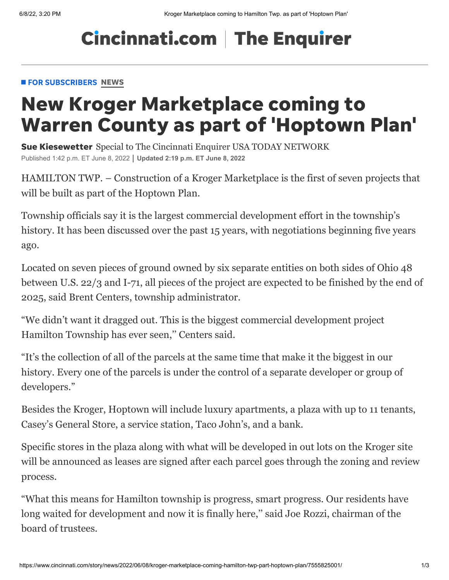# **Cincinnati.com | The Enquirer**

#### **FOR SUBSCRIBERS [NEWS](https://www.cincinnati.com/news/)**

# New Kroger Marketplace coming to Warren County as part of 'Hoptown Plan'

Sue Kiesewetter Special to The Cincinnati Enquirer USA TODAY NETWORK Published 1:42 p.m. ET June 8, 2022 **Updated 2:19 p.m. ET June 8, 2022**

HAMILTON TWP. – Construction of a Kroger Marketplace is the first of seven projects that will be built as part of the Hoptown Plan.

Township officials say it is the largest commercial development effort in the township's history. It has been discussed over the past 15 years, with negotiations beginning five years ago.

Located on seven pieces of ground owned by six separate entities on both sides of Ohio 48 between U.S. 22/3 and I-71, all pieces of the project are expected to be finished by the end of 2025, said Brent Centers, township administrator.

"We didn't want it dragged out. This is the biggest commercial development project Hamilton Township has ever seen,'' Centers said.

"It's the collection of all of the parcels at the same time that make it the biggest in our history. Every one of the parcels is under the control of a separate developer or group of developers."

Besides the Kroger, Hoptown will include luxury apartments, a plaza with up to 11 tenants, Casey's General Store, a service station, Taco John's, and a bank.

Specific stores in the plaza along with what will be developed in out lots on the Kroger site will be announced as leases are signed after each parcel goes through the zoning and review process.

"What this means for Hamilton township is progress, smart progress. Our residents have long waited for development and now it is finally here," said Joe Rozzi, chairman of the board of trustees.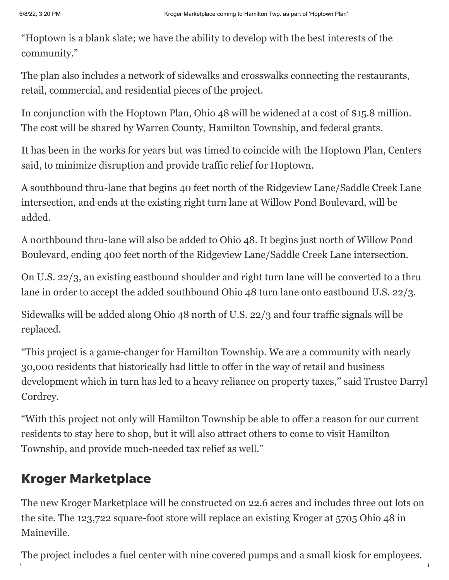"Hoptown is a blank slate; we have the ability to develop with the best interests of the community."

The plan also includes a network of sidewalks and crosswalks connecting the restaurants, retail, commercial, and residential pieces of the project.

In conjunction with the Hoptown Plan, Ohio 48 will be widened at a cost of \$15.8 million. The cost will be shared by Warren County, Hamilton Township, and federal grants.

It has been in the works for years but was timed to coincide with the Hoptown Plan, Centers said, to minimize disruption and provide traffic relief for Hoptown.

A southbound thru-lane that begins 40 feet north of the Ridgeview Lane/Saddle Creek Lane intersection, and ends at the existing right turn lane at Willow Pond Boulevard, will be added.

A northbound thru-lane will also be added to Ohio 48. It begins just north of Willow Pond Boulevard, ending 400 feet north of the Ridgeview Lane/Saddle Creek Lane intersection.

On U.S. 22/3, an existing eastbound shoulder and right turn lane will be converted to a thru lane in order to accept the added southbound Ohio 48 turn lane onto eastbound U.S. 22/3.

Sidewalks will be added along Ohio 48 north of U.S. 22/3 and four traffic signals will be replaced.

"This project is a game-changer for Hamilton Township. We are a community with nearly 30,000 residents that historically had little to offer in the way of retail and business development which in turn has led to a heavy reliance on property taxes,'' said Trustee Darryl Cordrey.

"With this project not only will Hamilton Township be able to offer a reason for our current residents to stay here to shop, but it will also attract others to come to visit Hamilton Township, and provide much-needed tax relief as well."

# Kroger Marketplace

The new Kroger Marketplace will be constructed on 22.6 acres and includes three out lots on the site. The 123,722 square-foot store will replace an existing Kroger at 5705 Ohio 48 in Maineville.

https://www.cincinnati.com/story/news/2022/06/08/kroger-marketplace-coming-part-hoptown-plan/7555825001/ 2/3/3 The project includes a fuel center with nine covered pumps and a small kiosk for employees.